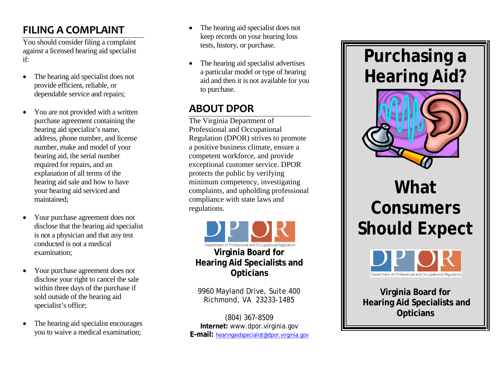## **FILING A COMPLAINT**

You should consider filing a complaint against a licensed hearing aid specialist if:

- The hearing aid specialist does not provide efficient, reliable, or dependable service and repairs ;
- You are not provided with a written purchase agreement containing the hearing aid specialist ' s name, address, phone number , and license number, make and model of your hearing aid , the serial number required for repair s, and an explanation of all terms of the hearing aid sale and how to have your hearing aid serviced and maintained ;
- Your purchase agreement does not disclose that the hearing aid specialist is not a physician and that any test conducted is not a medical examination ;
- Your purchase agreement does not disclose your right to cancel the sale within three days of the purchase if sold outside of the hearing aid specialist's office;
- The hearing aid specialist encourages you to waive a medical examination;
- The hearing aid specialist does not keep records on your hearing loss tests, history, or purchase.
- The hearing aid specialist advertises a particular model or type of hearing aid and then it is not available for you to purchase.

#### **ABOUT DPOR**

The Virginia Department of Professional and Occupational Regulation (DPOR) strives to promote a positive business climate, ensure a competent workforce, and provide exceptional customer service. DPOR protects the public by verifying minimum competency, investigating complaints, and upholding professional compliance with state laws and regulations.



9960 Mayland Drive, Suite 400 Richmond, VA 2323 3 - 1485

(804) 367 -8509 **Internet:** www.dpor.virginia.gov **E -mail:** [hearingaidspecialist@dpor.virginia.gov](mailto:hearingaidspecialist@dpor.virginia.gov)

# **Purchasing a Hearing Aid?**



# **What Consumers Should Expect**



**Virginia Board for Hearing Aid Specialists and Opticians**